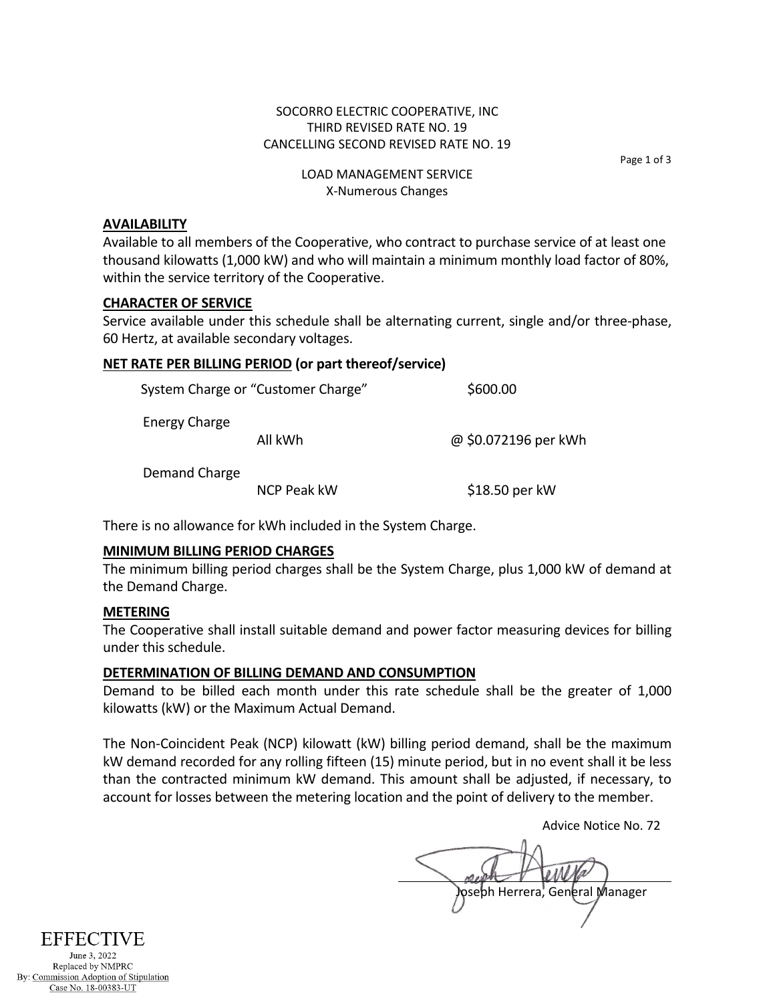### SOCORRO ELECTRIC COOPERATIVE, INC THIRD REVISED RATE NO. 19 CANCELLING SECOND REVISED RATE NO. 19

Page 1 of 3

# LOAD MANAGEMENT SERVICE X-Numerous Changes

#### **AVAILABILITY**

Available to all members of the Cooperative, who contract to purchase service of at least one thousand kilowatts (1,000 kW) and who will maintain a minimum monthly load factor of 80%, within the service territory of the Cooperative.

#### **CHARACTER OF SERVICE**

Service available under this schedule shall be alternating current, single and/or three-phase, 60 Hertz, at available secondary voltages.

# **NET RATE PER BILLING PERIOD (or part thereof/service)**

|                      | System Charge or "Customer Charge" | \$600.00             |
|----------------------|------------------------------------|----------------------|
| <b>Energy Charge</b> | All kWh                            | @ \$0.072196 per kWh |
| Demand Charge        | NCP Peak kW                        | \$18.50 per kW       |
|                      |                                    |                      |

There is no allowance for kWh included in the System Charge.

#### **MINIMUM BILLING PERIOD CHARGES**

The minimum billing period charges shall be the System Charge, plus 1,000 kW of demand at the Demand Charge.

#### **METERING**

The Cooperative shall install suitable demand and power factor measuring devices for billing under this schedule.

# **DETERMINATION OF BILLING DEMAND AND CONSUMPTION**

Demand to be billed each month under this rate schedule shall be the greater of 1,000 kilowatts (kW) or the Maximum Actual Demand.

The Non-Coincident Peak (NCP) kilowatt (kW) billing period demand, shall be the maximum kW demand recorded for any rolling fifteen (15) minute period, but in no event shall it be less than the contracted minimum kW demand. This amount shall be adjusted, if necessary, to account for losses between the metering location and the point of delivery to the member.

Advice Notice No. 72

oseph Herrera, General Manager

**EFFECTIVE** 

June 3, 2022 Replaced by NMPRC By: Commission Adoption of Stipulation Case No. 18-00383-UT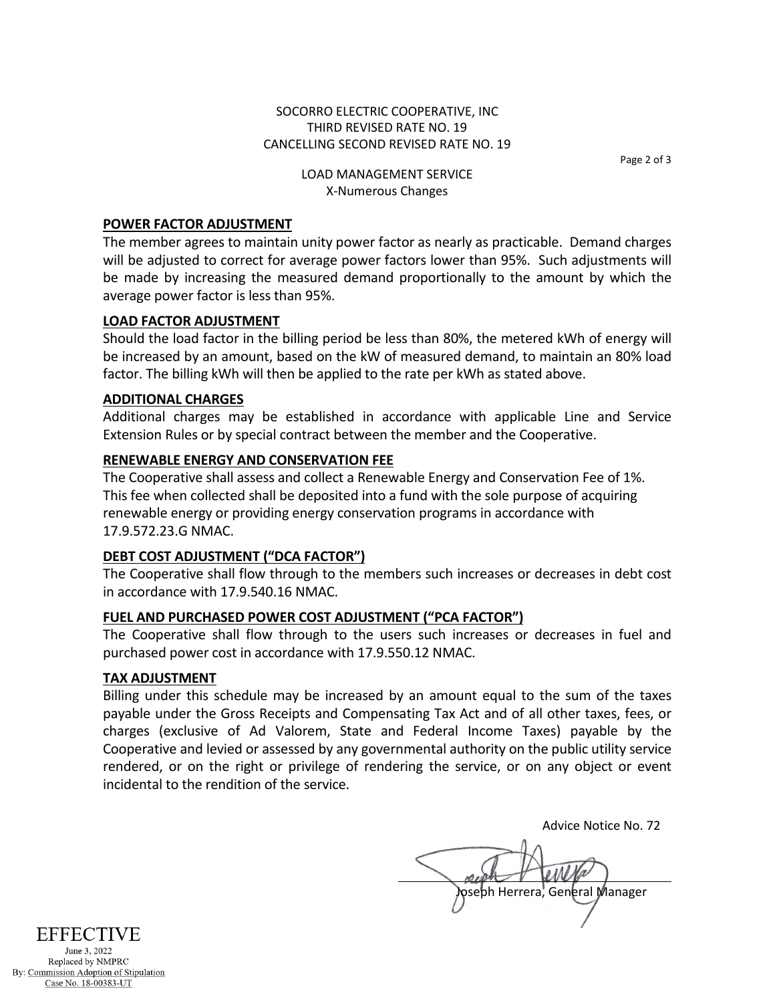## SOCORRO ELECTRIC COOPERATIVE, INC THIRD REVISED RATE NO. 19 CANCELLING SECOND REVISED RATE NO. 19

Page 2 of 3

## LOAD MANAGEMENT SERVICE X-Numerous Changes

# **POWER FACTOR ADJUSTMENT**

The member agrees to maintain unity power factor as nearly as practicable. Demand charges will be adjusted to correct for average power factors lower than 95%. Such adjustments will be made by increasing the measured demand proportionally to the amount by which the average power factor is less than 95%.

# **LOAD FACTOR ADJUSTMENT**

Should the load factor in the billing period be less than 80%, the metered kWh of energy will be increased by an amount, based on the kW of measured demand, to maintain an 80% load factor. The billing kWh will then be applied to the rate per kWh as stated above.

# **ADDITIONAL CHARGES**

Additional charges may be established in accordance with applicable Line and Service Extension Rules or by special contract between the member and the Cooperative.

# **RENEWABLE ENERGY AND CONSERVATION FEE**

The Cooperative shall assess and collect a Renewable Energy and Conservation Fee of 1%. This fee when collected shall be deposited into a fund with the sole purpose of acquiring renewable energy or providing energy conservation programs in accordance with 17.9.572.23.G NMAC.

# **DEBT COST ADJUSTMENT ("DCA FACTOR")**

The Cooperative shall flow through to the members such increases or decreases in debt cost in accordance with 17.9.540.16 NMAC.

# **FUEL AND PURCHASED POWER COST ADJUSTMENT ("PCA FACTOR")**

The Cooperative shall flow through to the users such increases or decreases in fuel and purchased power cost in accordance with 17.9.550.12 NMAC.

# **TAX ADJUSTMENT**

Billing under this schedule may be increased by an amount equal to the sum of the taxes payable under the Gross Receipts and Compensating Tax Act and of all other taxes, fees, or charges (exclusive of Ad Valorem, State and Federal Income Taxes) payable by the Cooperative and levied or assessed by any governmental authority on the public utility service rendered, or on the right or privilege of rendering the service, or on any object or event incidental to the rendition of the service.

Advice Notice No. 72 pseph Herrera, General Manager



June 3, 2022 Replaced by NMPRC By: Commission Adoption of Stipulation Case No. 18-00383-UT